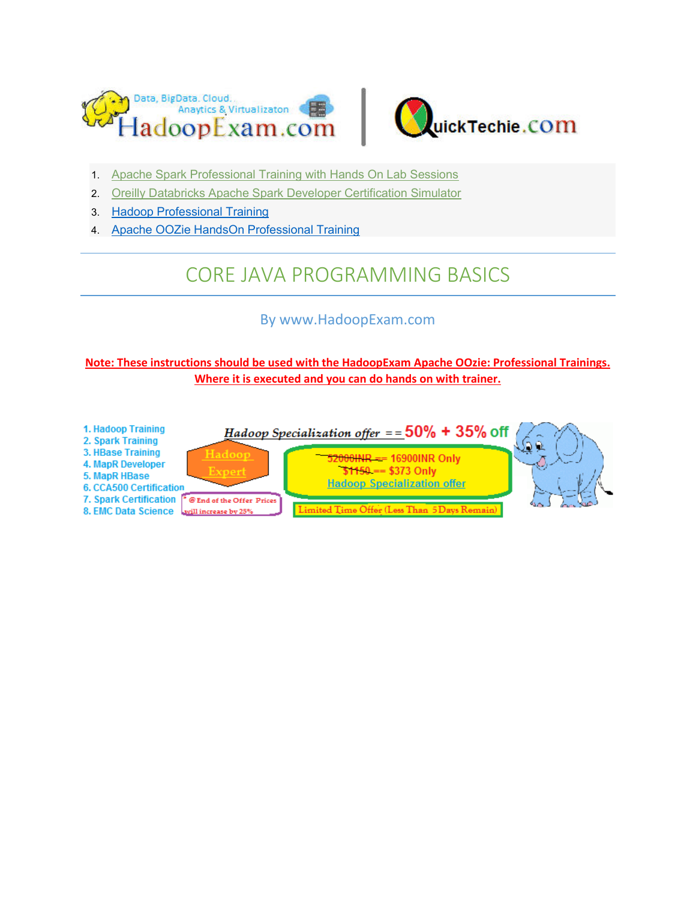



- 1. [Apache Spark Professional Training with Hands On Lab Sessions](http://www.hadoopexam.com/spark/training/Apache_Spark_professional_training_developer_certification_exam_dumps.html)
- 2. [Oreilly Databricks Apache Spark Developer Certification Simulator](http://www.hadoopexam.com/spark/Apache_Spark_Oreilly_databricks_developer_certification_exam_dumps.html)
- 3. [Hadoop Professional Training](http://hadoopexam.com/index.html/#hadoop-training)
- 4. [Apache OOZie HandsOn Professional Training](http://www.hadoopexam.com/)

# CORE JAVA PROGRAMMING BASICS

# By www.HadoopExam.com

# **Note: These instructions should be used with the HadoopExam Apache OOzie: Professional Trainings. Where it is executed and you can do hands on with trainer.**

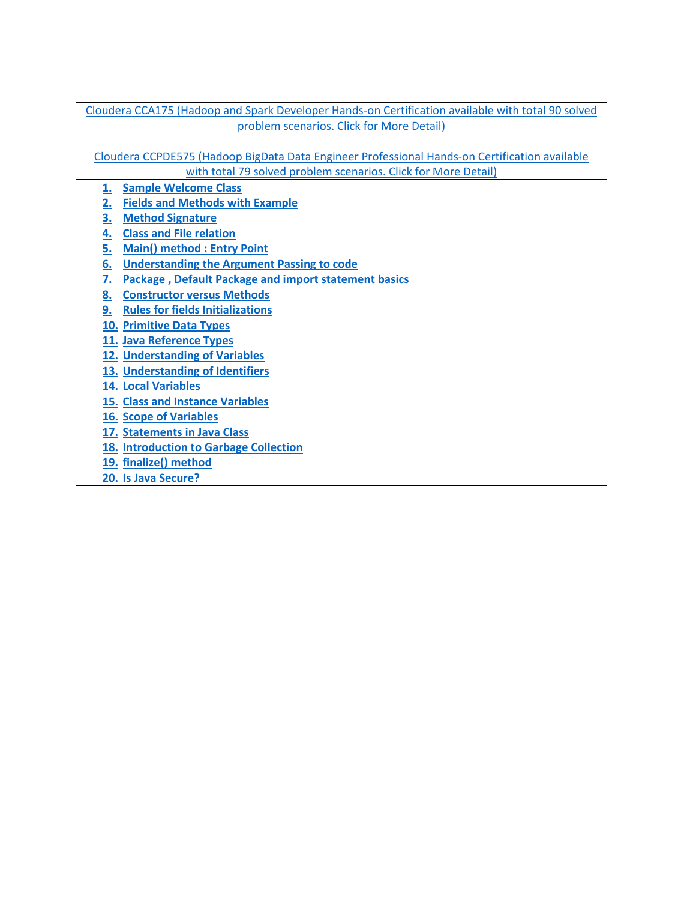| Cloudera CCA175 (Hadoop and Spark Developer Hands-on Certification available with total 90 solved |  |  |  |
|---------------------------------------------------------------------------------------------------|--|--|--|
| problem scenarios. Click for More Detail)                                                         |  |  |  |
|                                                                                                   |  |  |  |
| Cloudera CCPDE575 (Hadoop BigData Data Engineer Professional Hands-on Certification available     |  |  |  |
| with total 79 solved problem scenarios. Click for More Detail)                                    |  |  |  |
| <b>Sample Welcome Class</b><br>1.                                                                 |  |  |  |
| <b>Fields and Methods with Example</b><br><u>2.</u>                                               |  |  |  |
| <u>3.</u><br><b>Method Signature</b>                                                              |  |  |  |
| <b>Class and File relation</b><br><u>4.</u>                                                       |  |  |  |
| <b>Main() method: Entry Point</b><br><u>5.</u>                                                    |  |  |  |
| 6.<br><b>Understanding the Argument Passing to code</b>                                           |  |  |  |
| <u>7.</u><br><b>Package, Default Package and import statement basics</b>                          |  |  |  |
| 8. Constructor versus Methods                                                                     |  |  |  |
| 9. Rules for fields Initializations                                                               |  |  |  |
| 10. Primitive Data Types                                                                          |  |  |  |
| 11. Java Reference Types                                                                          |  |  |  |
| <b>12. Understanding of Variables</b>                                                             |  |  |  |
| 13. Understanding of Identifiers                                                                  |  |  |  |
| 14. Local Variables                                                                               |  |  |  |
| <b>15. Class and Instance Variables</b>                                                           |  |  |  |
| <b>16. Scope of Variables</b>                                                                     |  |  |  |
| 17. Statements in Java Class                                                                      |  |  |  |
| 18. Introduction to Garbage Collection                                                            |  |  |  |
| 19. finalize() method                                                                             |  |  |  |
| 20. Is Java Secure?                                                                               |  |  |  |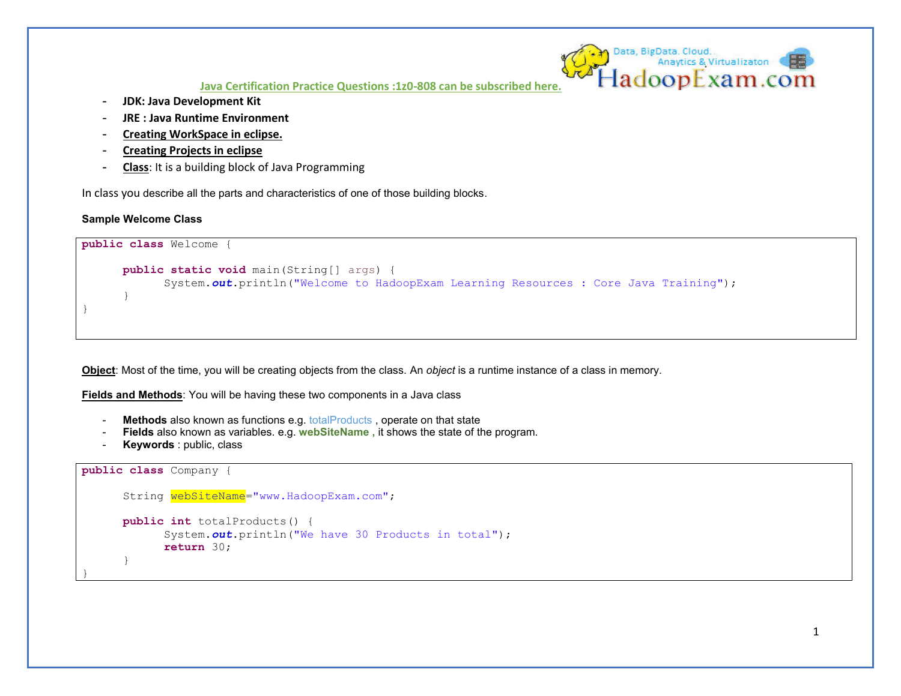- **JDK: Java Development Kit**
- **JRE : Java Runtime Environment**
- **Creating WorkSpace in eclipse.**
- **Creating Projects in eclipse**
- **Class**: It is a building block of Java Programming

In class you describe all the parts and characteristics of one of those building blocks.

#### **Sample Welcome Class**

```
public class Welcome {
     public static void main(String[] args) {
            System.out.println("Welcome to HadoopExam Learning Resources : Core Java Training");
 } 
}
```
**Object**: Most of the time, you will be creating objects from the class. An *object* is a runtime instance of a class in memory.

**Fields and Methods**: You will be having these two components in a Java class

- **Methods** also known as functions e.g. totalProducts , operate on that state
- **Fields** also known as variables. e.g. webSiteName, it shows the state of the program.
- **Keywords** : public, class

```
public class Company {
     String webSiteName="www.HadoopExam.com"; 
     public int totalProducts() {
             System.out.println("We have 30 Products in total");
             return 30;
 } 
}
```
Data, BigData, Cloud.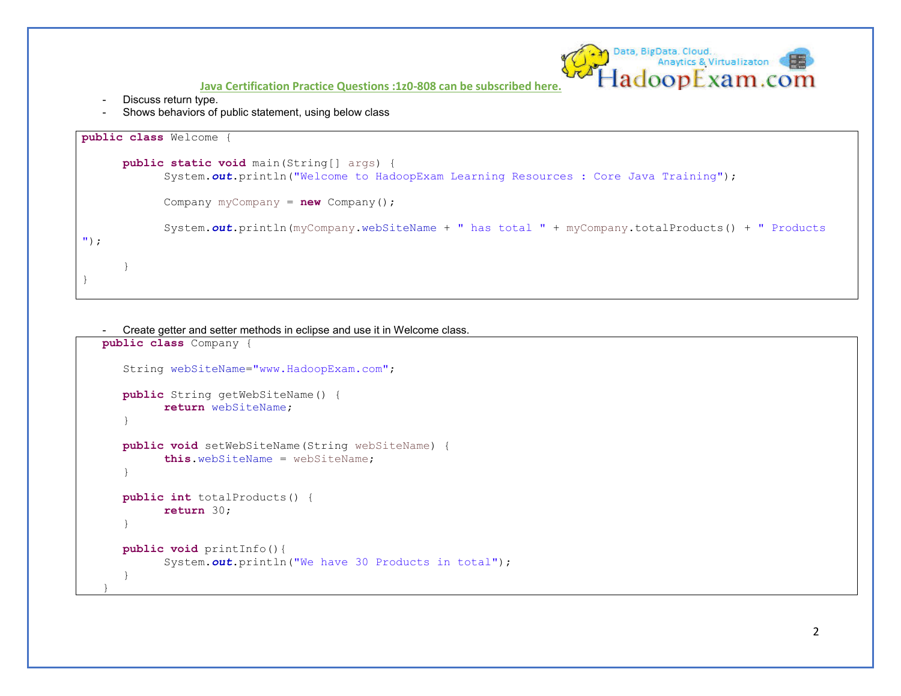- Discuss return type.
- Shows behaviors of public statement, using below class

```
public class Welcome {
     public static void main(String[] args) {
             System.out.println("Welcome to HadoopExam Learning Resources : Core Java Training");
             Company myCompany = new Company();
            System.out.println(myCompany.webSiteName + " has total " + myCompany.totalProducts() + " Products 
");
 } 
}
```

```
- Create getter and setter methods in eclipse and use it in Welcome class.
```

```
public class Company {
   String webSiteName="www.HadoopExam.com"; 
   public String getWebSiteName() {
          return webSiteName; 
\}public void setWebSiteName(String webSiteName) {
          this.webSiteName = webSiteName; 
 } 
   public int totalProducts() {
          return 30;
 } 
   public void printInfo(){
          System.out.println("We have 30 Products in total");
 } 
}
```
Data, BigData. Cloud.<br>Anaytics & Virtualizaton

ladoopExam.com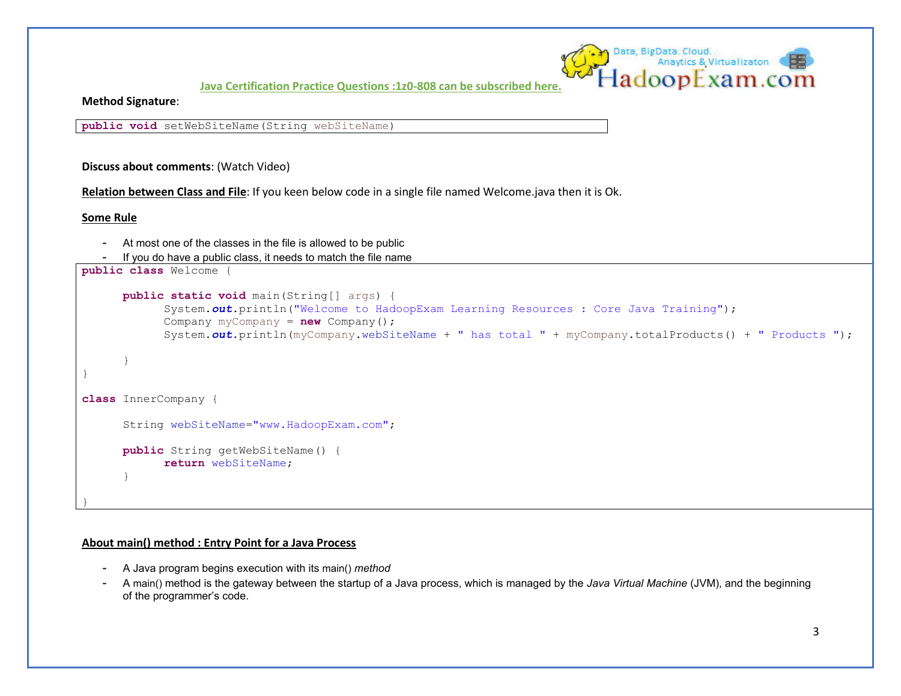

**Method Signature**:

**public void** setWebSiteName(String webSiteName)

**Discuss about comments**: (Watch Video)

**Relation between Class and File**: If you keen below code in a single file named Welcome.java then it is Ok.

**Some Rule** 

- At most one of the classes in the file is allowed to be public
- If you do have a public class, it needs to match the file name

```
public class Welcome {
     public static void main(String[] args) {
             System.out.println("Welcome to HadoopExam Learning Resources : Core Java Training");
            Company myCompany = new Company();
           System.out.println(myCompany.webSiteName + " has total " + myCompany.totalProducts() + " Products ");
 } 
} 
class InnerCompany {
      String webSiteName="www.HadoopExam.com"; 
     public String getWebSiteName() {
            return webSiteName; 
 } 
}
```
#### **About main() method : Entry Point for a Java Process**

- A Java program begins execution with its main() *method*
- A main() method is the gateway between the startup of a Java process, which is managed by the *Java Virtual Machine* (JVM), and the beginning of the programmer's code.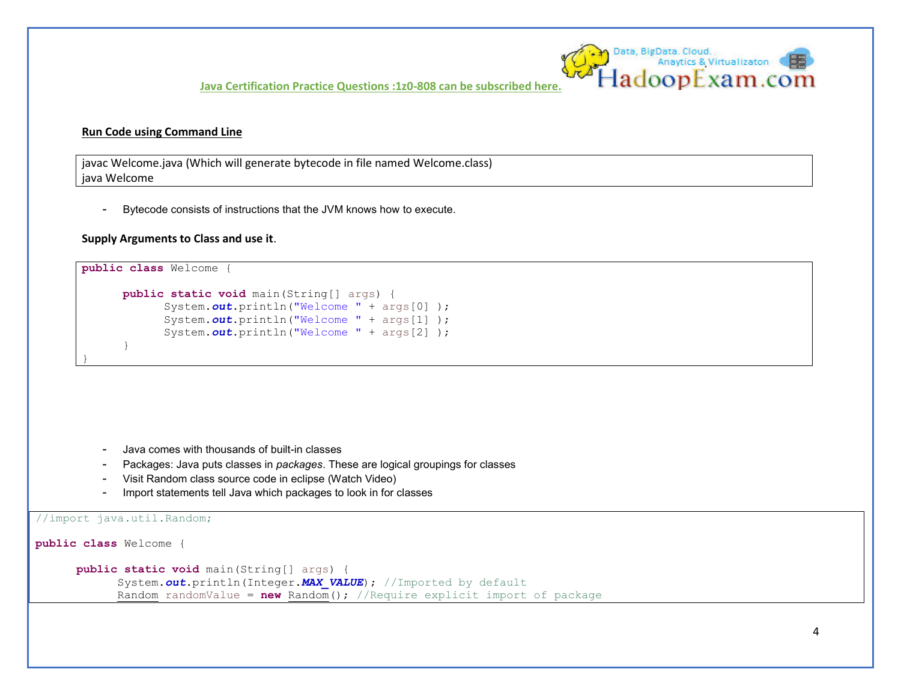

javac Welcome.java (Which will generate bytecode in file named Welcome.class) java Welcome

- Bytecode consists of instructions that the JVM knows how to execute.

#### **Supply Arguments to Class and use it**.

```
public class Welcome {
     public static void main(String[] args) {
            System.out.println("Welcome " + args[0] );
             System.out.println("Welcome " + args[1] );
            System.out.println("Welcome " + args<sup>[2]</sup>);
 }
```
- Java comes with thousands of built-in classes

- Packages: Java puts classes in *packages*. These are logical groupings for classes
- Visit Random class source code in eclipse (Watch Video)
- Import statements tell Java which packages to look in for classes

```
//import java.util.Random;
```
**public class** Welcome {

}

**public static void** main(String[] args) {

```
System.out.println(Integer. MAX VALUE); //Imported by default
 Random randomValue = new Random(); //Require explicit import of package
```
Data, BigData, Cloud,<br>Anaytics & Virtualizaton<br>-ladoopExam.com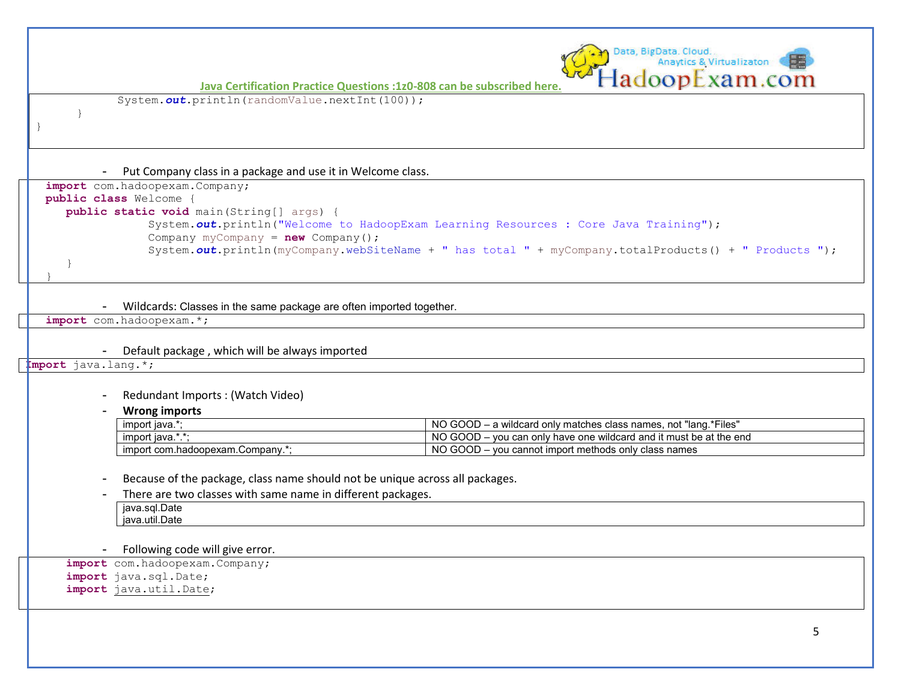Data, BigData, Cloud... Anaytics & Virtualizaton ladoopExam.com **[Java Certification Practice Questions :1z0-808 can be subscribed here.](http://www.hadoopexam.com/Oracle/Java1z0808/Oracle_java_1z0_808_programmer_8_developer_certification_exam_dumps.html)** System.out.println(randomValue.nextInt(100)); } } - Put Company class in a package and use it in Welcome class. **import** com.hadoopexam.Company; **public class** Welcome { **public static void** main(String[] args) { System.*out*.println("Welcome to HadoopExam Learning Resources : Core Java Training"); Company myCompany = **new** Company(); System.out.println(myCompany.webSiteName + " has total " + myCompany.totalProducts() + " Products "); } } - Wildcards: Classes in the same package are often imported together. **import** com.hadoopexam.\*; - Default package , which will be always imported **Import** java.lang.\*; - Redundant Imports : (Watch Video) - **Wrong imports**  import java.\*;  $\blacksquare$  NO GOOD – a wildcard only matches class names, not "lang.\*Files" import java.\*.\*; https://www.import java.\*.\*; NO GOOD – you can only have one wildcard and it must be at the end import com.hadoopexam.Company.\*; No GOOD – you cannot import methods only class names Because of the package, class name should not be unique across all packages. There are two classes with same name in different packages. java.sql.Date java.util.Date - Following code will give error. **import** com.hadoopexam.Company; **import** java.sql.Date; **import** java.util.Date;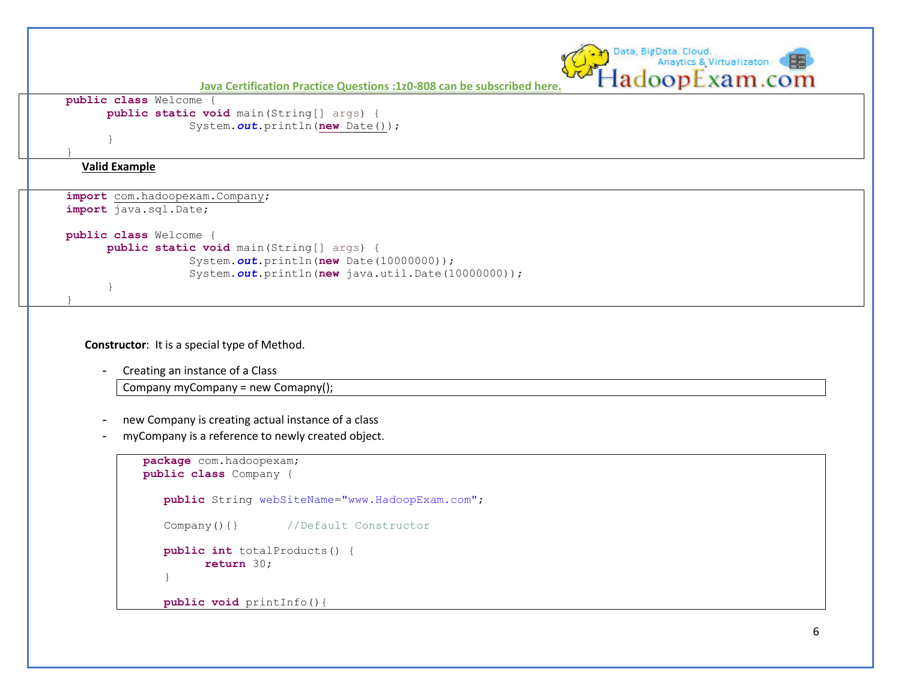```
Data, BigData, Cloud...
                                                                                                                                                                                        Anaytics & Virtualizaton
                                                                                                                                                                             adoopExam.com
                                                  Java Certification Practice Questions :1z0-808 can be subscribed here.
          public class Welcome {
                       public static void main(String[] args) {
                                               System.out.println(new Date());
       } 
       }
               Valid Example 
           import com.hadoopexam.Company; 
           import java.sql.Date;
           public class Welcome {
                       public static void main(String[] args) {
                                                System.out.println(new Date(10000000));
                                               System.out.println(new java.util.Date(10000000));
\begin{array}{|c|c|c|c|c|}\n\hline\n\text{1} & \text{1} & \text{1} & \text{1} & \text{1} & \text{1} & \text{1} & \text{1} & \text{1} & \text{1} & \text{1} & \text{1} & \text{1} & \text{1} & \text{1} & \text{1} & \text{1} & \text{1} & \text{1} & \text{1} & \text{1} & \text{1} & \text{1} & \text{1} & \text{1} & \text{1} & \text{1} & \text{1} & \text{1} & \text{1} & \text{1} & \text{1} & \text{1} &\begin{array}{ccc} \vert & \vert & \vert & \vert \vert \end{array}
```
**Constructor**: It is a special type of Method.

- Creating an instance of a Class

Company myCompany = new Comapny();

- new Company is creating actual instance of a class
- myCompany is a reference to newly created object.

```
package com.hadoopexam;
public class Company {
  public String webSiteName="www.HadoopExam.com"; 
   Company() { } //Default Constructor
   public int totalProducts() {
         return 30;
\}public void printInfo(){
```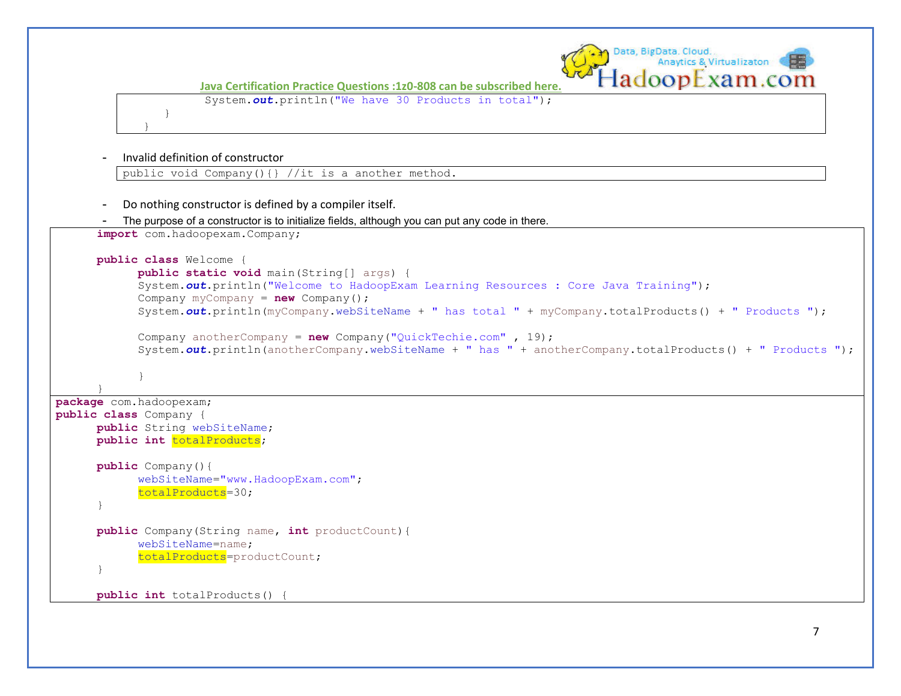

Data, BigData, Cloud.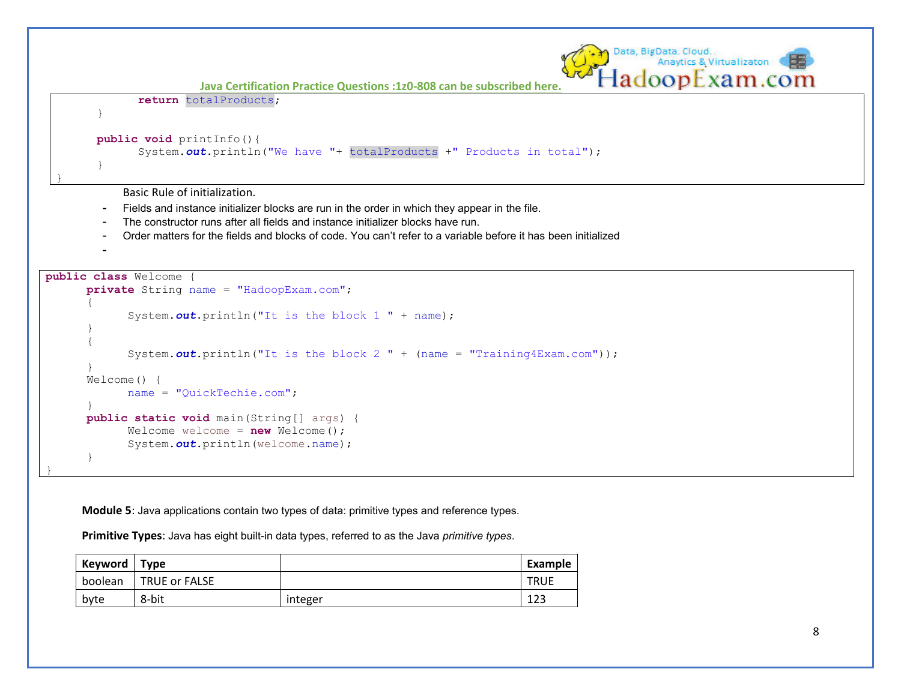

**Module 5**: Java applications contain two types of data: primitive types and reference types.

**Primitive Types**: Java has eight built-in data types, referred to as the Java *primitive types*.

| Keyword | <b>Type</b>          |         | Example     |
|---------|----------------------|---------|-------------|
| boolean | <b>TRUE or FALSE</b> |         | <b>TRUE</b> |
| byte    | 8-bit                | integer | 123         |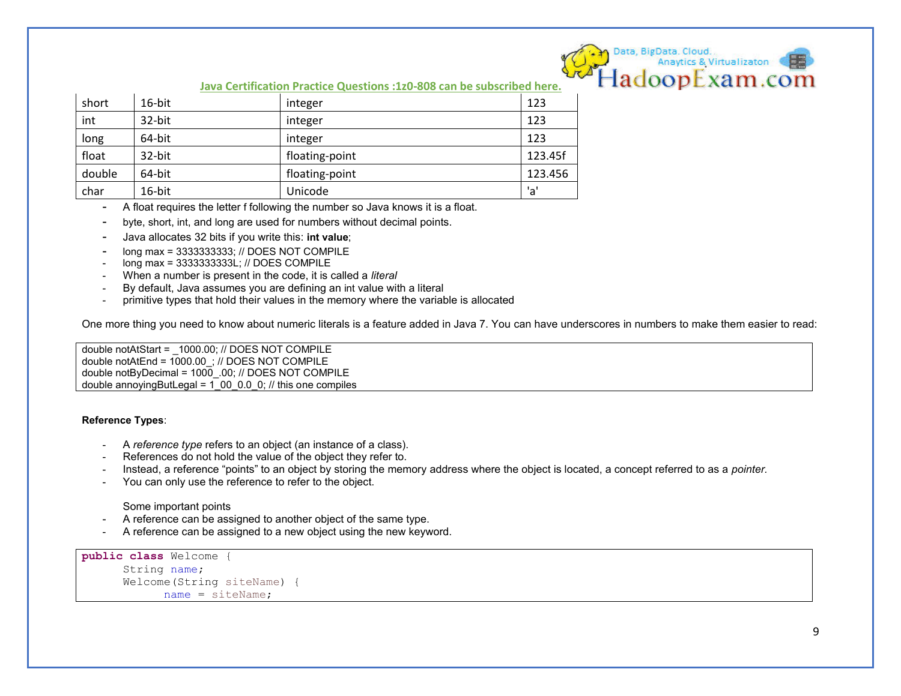

| short  | 16-bit | integer        | 123     |
|--------|--------|----------------|---------|
| int    | 32-bit | integer        | 123     |
| long   | 64-bit | integer        | 123     |
| float  | 32-bit | floating-point | 123.45f |
| double | 64-bit | floating-point | 123.456 |
| char   | 16-bit | Unicode        | 'a'     |

- A float requires the letter f following the number so Java knows it is a float.
- byte, short, int, and long are used for numbers without decimal points.
- Java allocates 32 bits if you write this: **int value**;
- long max = 3333333333; // DOES NOT COMPILE
- long max = 3333333333L; // DOES COMPILE
- When a number is present in the code, it is called a *literal*
- By default, Java assumes you are defining an int value with a literal
- primitive types that hold their values in the memory where the variable is allocated

One more thing you need to know about numeric literals is a feature added in Java 7. You can have underscores in numbers to make them easier to read:

double notAtStart = \_1000.00; // DOES NOT COMPILE double notAtEnd = 1000.00\_; // DOES NOT COMPILE double notByDecimal = 1000\_.00; // DOES NOT COMPILE double annoyingButLegal = 1\_00\_0.0\_0; // this one compiles

#### **Reference Types**:

- A *reference type* refers to an object (an instance of a class).
- References do not hold the value of the object they refer to.
- Instead, a reference "points" to an object by storing the memory address where the object is located, a concept referred to as a *pointer.*
- You can only use the reference to refer to the object.

Some important points

- A reference can be assigned to another object of the same type.
- A reference can be assigned to a new object using the new keyword.

```
public class Welcome {
      String name; 
      Welcome(String siteName) {
             name = siteName;
```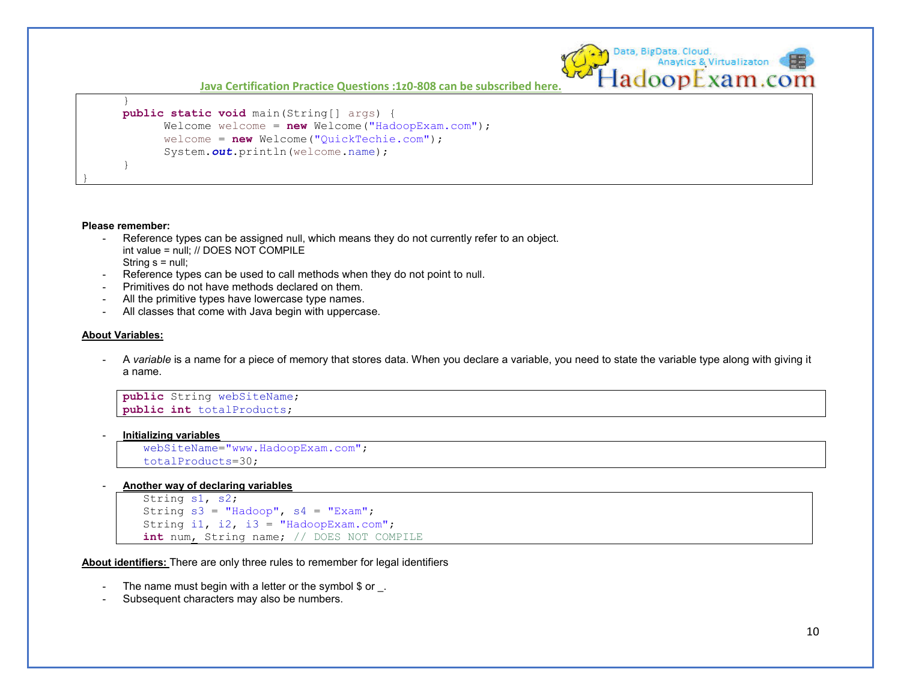```
 } 
     public static void main(String[] args) {
           Welcome welcome = new Welcome("HadoopExam.com");
            welcome = new Welcome("QuickTechie.com");
            System.out.println(welcome.name);
 }
```
#### **Please remember:**

}

- Reference types can be assigned null, which means they do not currently refer to an object. int value = null; // DOES NOT COMPILE String  $s = null$ ;
- Reference types can be used to call methods when they do not point to null.
- Primitives do not have methods declared on them.
- All the primitive types have lowercase type names.
- All classes that come with Java begin with uppercase.

#### **About Variables:**

- A *variable* is a name for a piece of memory that stores data. When you declare a variable, you need to state the variable type along with giving it a name.

```
public String webSiteName; 
public int totalProducts;
```
- **Initializing variables** 

webSiteName="www.HadoopExam.com"; totalProducts=30;

- **Another way of declaring variables** 

```
String s1, s2; 
String s3 = "Hadoop", s4 = "Exam";String i1, i2, i3 = "HadoopExam.com";
int num, String name; // DOES NOT COMPILE
```
**About identifiers:** There are only three rules to remember for legal identifiers

- The name must begin with a letter or the symbol  $$$  or  $\,$ .
- Subsequent characters may also be numbers.

Data, BigData, Cloud.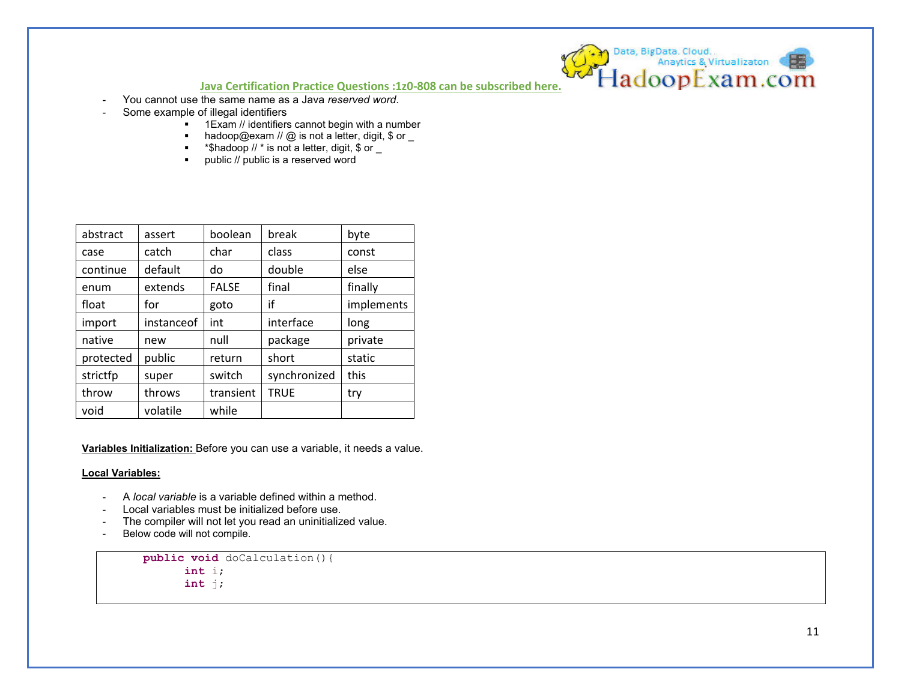- You cannot use the same name as a Java *reserved word*.
- Some example of illegal identifiers
	- $1$ Exam // identifiers cannot begin with a number
	- $\blacksquare$  hadoop@exam // @ is not a letter, digit, \$ or \_
	- **\*** \*\$hadoop  $//$  \* is not a letter, digit, \$ or  $\overline{\phantom{a}}$
	- **public // public is a reserved word**

| abstract  | assert     | boolean      | break        | byte       |
|-----------|------------|--------------|--------------|------------|
| case      | catch      | char         | class        | const      |
| continue  | default    | do           | double       | else       |
| enum      | extends    | <b>FALSE</b> | final        | finally    |
| float     | for        | goto         | if           | implements |
| import    | instanceof | int          | interface    | long       |
| native    | new        | null         | package      | private    |
| protected | public     | return       | short        | static     |
| strictfp  | super      | switch       | synchronized | this       |
| throw     | throws     | transient    | <b>TRUE</b>  | try        |
| void      | volatile   | while        |              |            |

**Variables Initialization:** Before you can use a variable, it needs a value.

#### **Local Variables:**

- A *local variable* is a variable defined within a method.
- Local variables must be initialized before use.
- The compiler will not let you read an uninitialized value.
- Below code will not compile.

```
public void doCalculation(){
       int i; 
       int j;
```
D Data, BigData, Cloud.<br>Anaytics & Virtualizaton (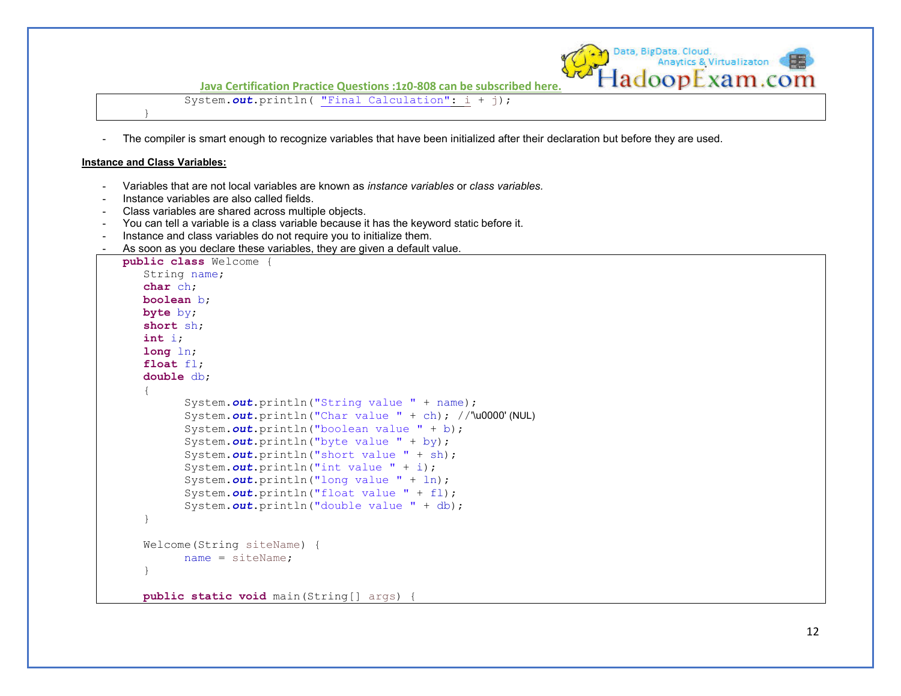

System.out.println( "Final Calculation": i + j);

- The compiler is smart enough to recognize variables that have been initialized after their declaration but before they are used.

#### **Instance and Class Variables:**

}

- Variables that are not local variables are known as *instance variables* or *class variables.*
- Instance variables are also called fields.
- Class variables are shared across multiple objects.
- You can tell a variable is a class variable because it has the keyword static before it.
- Instance and class variables do not require you to initialize them.
- As soon as you declare these variables, they are given a default value.

```
public class Welcome {
   String name; 
   char ch; 
   boolean b; 
   byte by; 
   short sh; 
   int i; 
   long ln; 
   float fl; 
   double db; 
\left\{\begin{array}{c} \end{array}\right. System.out.println("String value " + name);
          System.out.println("Char value " + ch); //'\u0000' (NUL)
           System.out.println("boolean value " + b);
           System.out.println("byte value " + by);
          System.out.println("short value " + sh);
           System.out.println("int value " + i);
           System.out.println("long value " + ln);
           System.out.println("float value " + fl);
           System.out.println("double value " + db);
\}Welcome(String siteName) {
          name = siteName; 
    } 
   public static void main(String[] args) {
```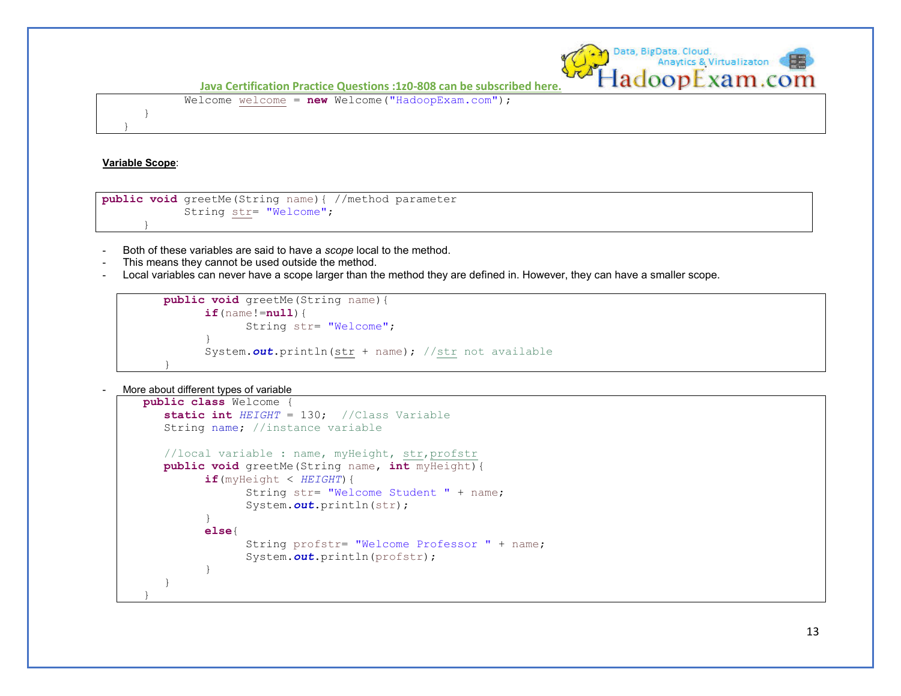

Welcome welcome = **new** Welcome("HadoopExam.com");

#### **Variable Scope**:

}

}

}

```
public void greetMe(String name){ //method parameter
             String str= "Welcome";
```
- Both of these variables are said to have a *scope* local to the method.
- This means they cannot be used outside the method.
- Local variables can never have a scope larger than the method they are defined in. However, they can have a smaller scope.

```
public void greetMe(String name){
            if(name!=null){
                 String str= "Welcome"; 
 } 
            System.out.println(str + name); //str not available 
 }
```
More about different types of variable

```
public class Welcome {
   static int HEIGHT = 130; //Class Variable
   String name; //instance variable
   //local variable : name, myHeight, str,profstr
   public void greetMe(String name, int myHeight){
          if(myHeight < HEIGHT){
                String str= "Welcome Student " + name; 
                System.out.println(str); 
          } 
          else{ 
                String profstr= "Welcome Professor " + name; 
                System.out.println(profstr); 
 } 
    } 
}
```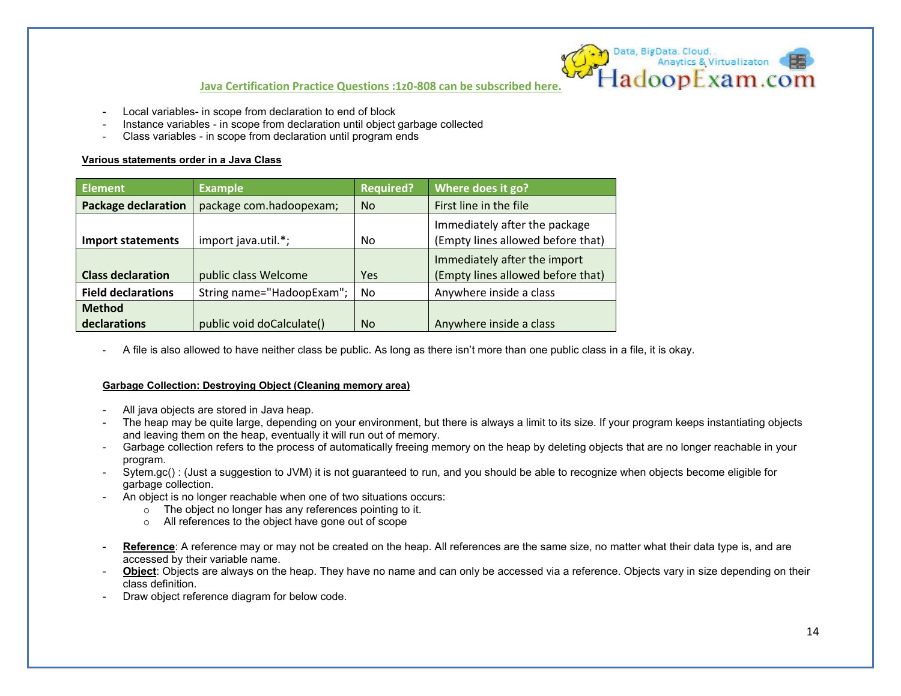- Local variables- in scope from declaration to end of block
- Instance variables in scope from declaration until object garbage collected
- Class variables in scope from declaration until program ends

### **Various statements order in a Java Class**

| <b>Element</b>             | <b>Example</b>            | <b>Required?</b> | Where does it go?                                                  |  |
|----------------------------|---------------------------|------------------|--------------------------------------------------------------------|--|
| <b>Package declaration</b> | package com.hadoopexam;   | <b>No</b>        | First line in the file                                             |  |
| <b>Import statements</b>   | import java.util.*;       | <b>No</b>        | Immediately after the package<br>(Empty lines allowed before that) |  |
| <b>Class declaration</b>   | public class Welcome      | Yes              | Immediately after the import<br>(Empty lines allowed before that)  |  |
| <b>Field declarations</b>  | String name="HadoopExam"; | No               | Anywhere inside a class                                            |  |
| <b>Method</b>              |                           |                  |                                                                    |  |
| declarations               | public void doCalculate() | No.              | Anywhere inside a class                                            |  |

- A file is also allowed to have neither class be public. As long as there isn't more than one public class in a file, it is okay.

## **Garbage Collection: Destroying Object (Cleaning memory area)**

- All java objects are stored in Java heap.
- The heap may be quite large, depending on your environment, but there is always a limit to its size. If your program keeps instantiating objects and leaving them on the heap, eventually it will run out of memory.
- Garbage collection refers to the process of automatically freeing memory on the heap by deleting objects that are no longer reachable in your program.
- Sytem.gc() : (Just a suggestion to JVM) it is not guaranteed to run, and you should be able to recognize when objects become eligible for garbage collection.
- An object is no longer reachable when one of two situations occurs:
	- o The object no longer has any references pointing to it.
	- o All references to the object have gone out of scope
- Reference: A reference may or may not be created on the heap. All references are the same size, no matter what their data type is, and are accessed by their variable name.
- **Object**: Objects are always on the heap. They have no name and can only be accessed via a reference. Objects vary in size depending on their class definition.
- Draw object reference diagram for below code.

Data, BigData, Cloud.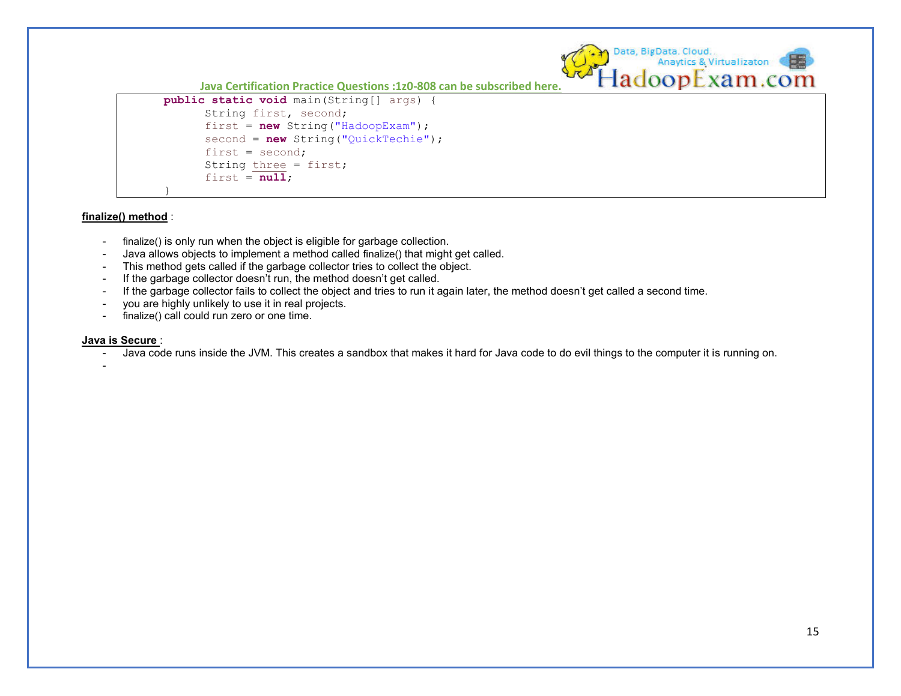```
public static void main(String[] args) {
         String first, second; 
         first = new String("HadoopExam");
        second = new String("QuickTechie");
        first = second: String three = first; 
        first = null; }
```
#### **finalize() method** :

- finalize() is only run when the object is eligible for garbage collection.
- Java allows objects to implement a method called finalize() that might get called.
- This method gets called if the garbage collector tries to collect the object.
- If the garbage collector doesn't run, the method doesn't get called.
- If the garbage collector fails to collect the object and tries to run it again later, the method doesn't get called a second time.
- you are highly unlikely to use it in real projects.
- finalize() call could run zero or one time.

#### **Java is Secure** :

- Java code runs inside the JVM. This creates a sandbox that makes it hard for Java code to do evil things to the computer it is running on.

Data, BigData, Cloud.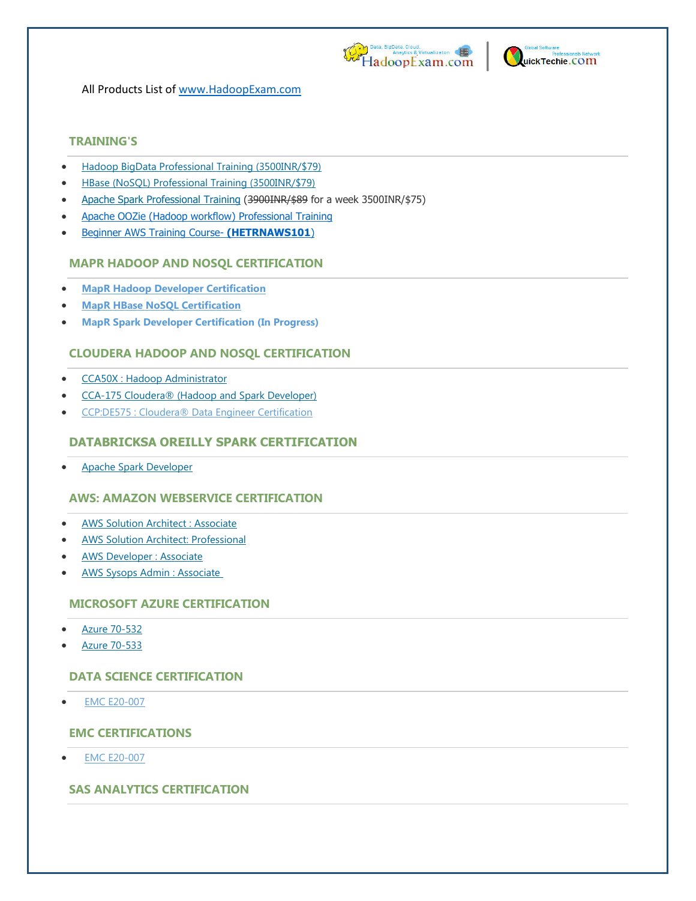



All Products List of [www.HadoopExam.com](http://www.hadoopexam.com/)

# **TRAINING'S**

- [Hadoop BigData Professional Training \(3500INR/\\$79\)](http://hadoopexam.com/index.html/#hadoop-training)
- [HBase \(NoSQL\) Professional Training \(3500INR/\\$79\)](http://www.hadoopexam.com/hbase/HBase_Training_AND_Certification.html)
- [Apache Spark Professional Training](http://www.hadoopexam.com/spark/training/Apache_Spark_professional_training_developer_certification_exam_dumps.html) (3900INR/\$89 for a week 3500INR/\$75)
- [Apache OOZie \(Hadoop workflow\) Professional Training](http://www.hadoopexam.com/)
- [Beginner AWS Training Course-](http://www.hadoopexam.com/) **(HETRNAWS101**)

# **MAPR HADOOP AND NOSQL CERTIFICATION**

- **[MapR Hadoop Developer Certification](http://www.hadoopexam.com/MapR/MapR_MCHD_Hadoop_Developer_Certification_Practice_Questions_exam_dumps.html)**
- **[MapR HBase NoSQL Certification](http://hadoopexam.com/index.html/#hbase)**
- **MapR Spark Developer Certification (In Progress)**

# **CLOUDERA HADOOP AND NOSQL CERTIFICATION**

- [CCA50X : Hadoop Administrator](http://hadoopexam.com/index.html/#admin)
- [CCA-175 Cloudera® \(Hadoop and Spark Developer\)](http://www.hadoopexam.com/Cloudera_Certification/CCA175/CCA_175_Hadoop_Cloudera_Spark_Certification_Questions_Dumps_Practice_Test.html)
- [CCP:DE575 : Cloudera® Data Engineer Certification](http://www.hadoopexam.com/Cloudera_Certification/CCPDE575/CCP_DE575_Hadoop_Cloudera_Data_Enginer_Questions_Dumps_Practice_Test.html)

# **DATABRICKSA OREILLY SPARK CERTIFICATION**

[Apache Spark Developer](http://www.hadoopexam.com/spark/Apache_Spark_Oreilly_databricks_developer_certification_exam_dumps.html)

# **AWS: AMAZON WEBSERVICE CERTIFICATION**

- **AWS Solution Architect: Associate**
- [AWS Solution Architect: Professional](http://www.hadoopexam.com/aws/AWSSA/Professional/amazon_aws_certification_Solution_architect_professional_dumps.html)
- [AWS Developer : Associate](http://hadoopexam.com/aws/AWSDEV/amazon_aws_developer_exam_certification_dumps.html)
- [AWS Sysops Admin : Associate](http://hadoopexam.com/aws/AWSSYSOPS/amazon_aws_SysOps_Administrator_exam_certification_dumps.html)

# **MICROSOFT AZURE CERTIFICATION**

- [Azure 70-532](http://www.hadoopexam.com/Microsoft/Azure/microsoft_azure_70_532_certification_dump_exam.html)
- [Azure 70-533](http://www.hadoopexam.com/Microsoft/Azure/microsoft_azure_70_533_certification_dump_exam.html)

# **DATA SCIENCE CERTIFICATION**

[EMC E20-007](http://hadoopexam.com/emc/EMCDSA_E20_007_certification_exam_dumps.html)

# **EMC CERTIFICATIONS**

[EMC E20-007](http://hadoopexam.com/emc/EMCDSA_E20_007_certification_exam_dumps.html)

# **SAS ANALYTICS CERTIFICATION**